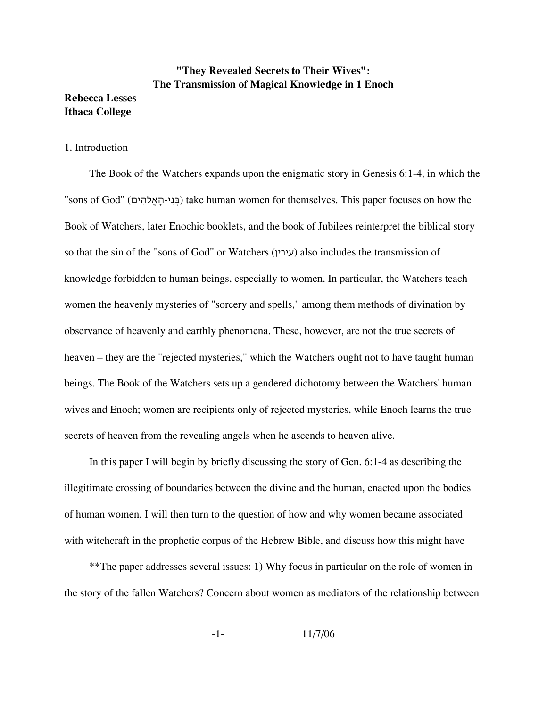# **"They Revealed Secrets to Their Wives": The Transmission of Magical Knowledge in 1 Enoch**

# **Ithaca College**

**Rebecca Lesses**

## 1. Introduction

The Book of the Watchers expands upon the enigmatic story in Genesis 6:1-4, in which the "sons of God" (בני-האלהים) take human women for themselves. This paper focuses on how the Book of Watchers, later Enochic booklets, and the book of Jubilees reinterpret the biblical story so that the sin of the "sons of God" or Watchers (עירין (also includes the transmission of knowledge forbidden to human beings, especially to women. In particular, the Watchers teach women the heavenly mysteries of "sorcery and spells," among them methods of divination by observance of heavenly and earthly phenomena. These, however, are not the true secrets of heaven – they are the "rejected mysteries," which the Watchers ought not to have taught human beings. The Book of the Watchers sets up a gendered dichotomy between the Watchers' human wives and Enoch; women are recipients only of rejected mysteries, while Enoch learns the true secrets of heaven from the revealing angels when he ascends to heaven alive.

In this paper I will begin by briefly discussing the story of Gen. 6:1-4 as describing the illegitimate crossing of boundaries between the divine and the human, enacted upon the bodies of human women. I will then turn to the question of how and why women became associated with witchcraft in the prophetic corpus of the Hebrew Bible, and discuss how this might have

\*\*The paper addresses several issues: 1) Why focus in particular on the role of women in the story of the fallen Watchers? Concern about women as mediators of the relationship between

-1- 11/7/06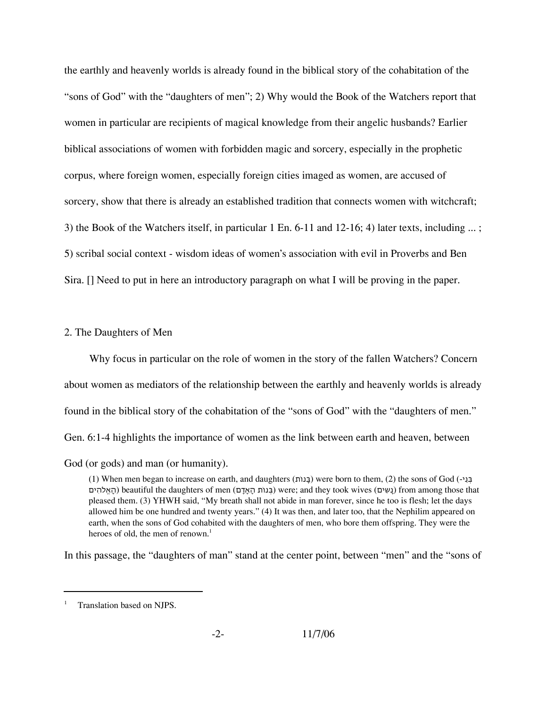the earthly and heavenly worlds is already found in the biblical story of the cohabitation of the "sons of God" with the "daughters of men"; 2) Why would the Book of the Watchers report that women in particular are recipients of magical knowledge from their angelic husbands? Earlier biblical associations of women with forbidden magic and sorcery, especially in the prophetic corpus, where foreign women, especially foreign cities imaged as women, are accused of sorcery, show that there is already an established tradition that connects women with witchcraft; 3) the Book of the Watchers itself, in particular 1 En. 6-11 and 12-16; 4) later texts, including ... ; 5) scribal social context - wisdom ideas of women's association with evil in Proverbs and Ben Sira. [] Need to put in here an introductory paragraph on what I will be proving in the paper.

#### 2. The Daughters of Men

Why focus in particular on the role of women in the story of the fallen Watchers? Concern about women as mediators of the relationship between the earthly and heavenly worlds is already found in the biblical story of the cohabitation of the "sons of God" with the "daughters of men." Gen. 6:1-4 highlights the importance of women as the link between earth and heaven, between

God (or gods) and man (or humanity).

(1) When men began to increase on earth, and daughters (תֹנוָּב (were born to them, (2) the sons of God (-יֵנְּב that those among from) נָשִים) wives took they and; were) בְּנוֹת הָאָדָם) men of daughters the beautiful) הָאֱלֹהִים pleased them. (3) YHWH said, "My breath shall not abide in man forever, since he too is flesh; let the days allowed him be one hundred and twenty years." (4) It was then, and later too, that the Nephilim appeared on earth, when the sons of God cohabited with the daughters of men, who bore them offspring. They were the heroes of old, the men of renown.<sup>1</sup>

In this passage, the "daughters of man" stand at the center point, between "men" and the "sons of

Translation based on NJPS.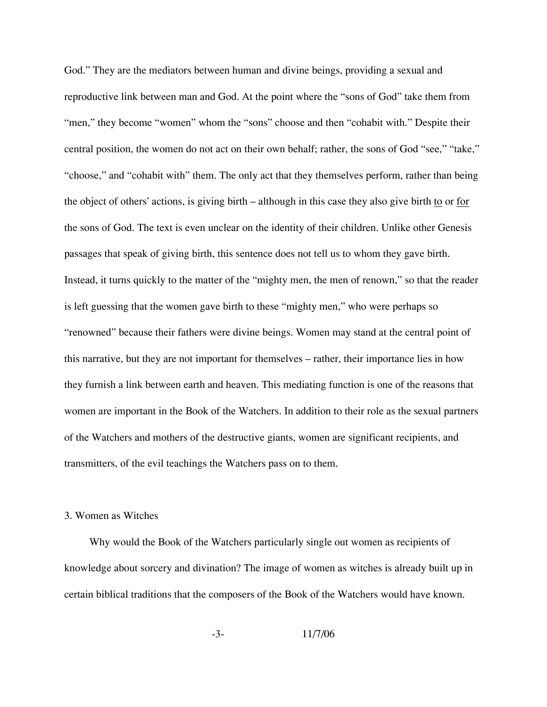God." They are the mediators between human and divine beings, providing a sexual and reproductive link between man and God. At the point where the "sons of God" take them from "men," they become "women" whom the "sons" choose and then "cohabit with." Despite their central position, the women do not act on their own behalf; rather, the sons of God "see," "take," "choose," and "cohabit with" them. The only act that they themselves perform, rather than being the object of others' actions, is giving birth – although in this case they also give birth to or for the sons of God. The text is even unclear on the identity of their children. Unlike other Genesis passages that speak of giving birth, this sentence does not tell us to whom they gave birth. Instead, it turns quickly to the matter of the "mighty men, the men of renown," so that the reader is left guessing that the women gave birth to these "mighty men," who were perhaps so "renowned" because their fathers were divine beings. Women may stand at the central point of this narrative, but they are not important for themselves – rather, their importance lies in how they furnish a link between earth and heaven. This mediating function is one of the reasons that women are important in the Book of the Watchers. In addition to their role as the sexual partners of the Watchers and mothers of the destructive giants, women are significant recipients, and transmitters, of the evil teachings the Watchers pass on to them.

### 3. Women as Witches

Why would the Book of the Watchers particularly single out women as recipients of knowledge about sorcery and divination? The image of women as witches is already built up in certain biblical traditions that the composers of the Book of the Watchers would have known.

-3- 11/7/06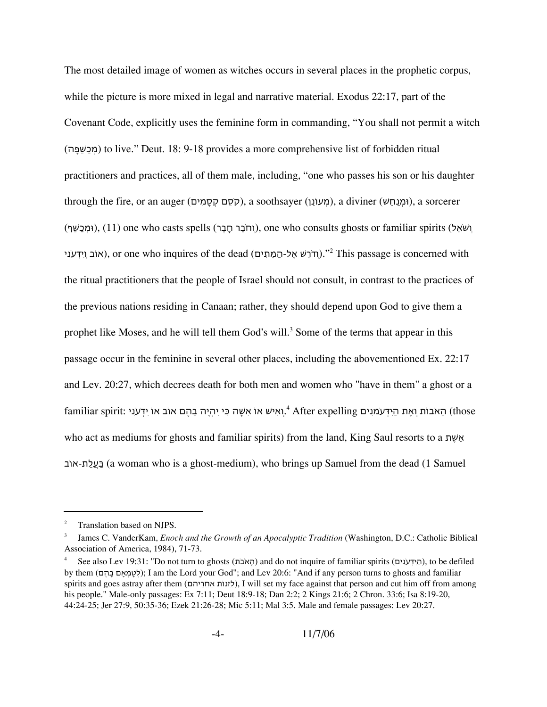The most detailed image of women as witches occurs in several places in the prophetic corpus, while the picture is more mixed in legal and narrative material. Exodus 22:17, part of the Covenant Code, explicitly uses the feminine form in commanding, "You shall not permit a witch (מְכַשִּׁפָּה) to live." Deut. 18: 9-18 provides a more comprehensive list of forbidden ritual practitioners and practices, all of them male, including, "one who passes his son or his daughter through the fire, or an auger (הְסֵם קְסָמִים), a soothsayer (מִעוֹנֵן), a diviner (וּמְנַחֵשׁ), a sorcerer וּמְכַשֵּׁף), (11) one who casts spells (וְחֹבֵר חָבֵר), one who consults ghosts or familiar spirits (וּמְכַשֵּׁף) אוֹב וְיִדְעֹנִי), or one who inquires of the dead (חֹרֵשׁ אֶל-הַמֵּתִים)." $^2$  This passage is concerned with the ritual practitioners that the people of Israel should not consult, in contrast to the practices of the previous nations residing in Canaan; rather, they should depend upon God to give them a prophet like Moses, and he will tell them God's will.<sup>3</sup> Some of the terms that appear in this passage occur in the feminine in several other places, including the abovementioned Ex. 22:17 and Lev. 20:27, which decrees death for both men and women who "have in them" a ghost or a familiar spirit: הָאִבּוֹת וְאֶת הַיִּדְּעֹמנִים, 4 After expelling הָאֹבוֹת וְאֶת הַיִּדְּעֹמנִים, who act as mediums for ghosts and familiar spirits) from the land, King Saul resorts to a תֶשֵׁא אוֹב-תַלֲעַּב) a woman who is a ghost-medium), who brings up Samuel from the dead (1 Samuel

<sup>&</sup>lt;sup>2</sup> Translation based on NJPS.

<sup>3</sup> James C. VanderKam, *Enoch and the Growth of an Apocalyptic Tradition* (Washington, D.C.: Catholic Biblical Association of America, 1984), 71-73.

<sup>4</sup> See also Lev 19:31: "Do not turn to ghosts (תֹבֹאָה (and do not inquire of familiar spirits (יםִנֹעְּדִּיַה(, to be defiled by them (םֶהָב םָאְמָטְל ;(I am the Lord your God"; and Lev 20:6: "And if any person turns to ghosts and familiar spirits and goes astray after them (לְזָנוֹת אֲחֲרֵיהִם), I will set my face against that person and cut him off from among his people." Male-only passages: Ex 7:11; Deut 18:9-18; Dan 2:2; 2 Kings 21:6; 2 Chron. 33:6; Isa 8:19-20, 44:24-25; Jer 27:9, 50:35-36; Ezek 21:26-28; Mic 5:11; Mal 3:5. Male and female passages: Lev 20:27.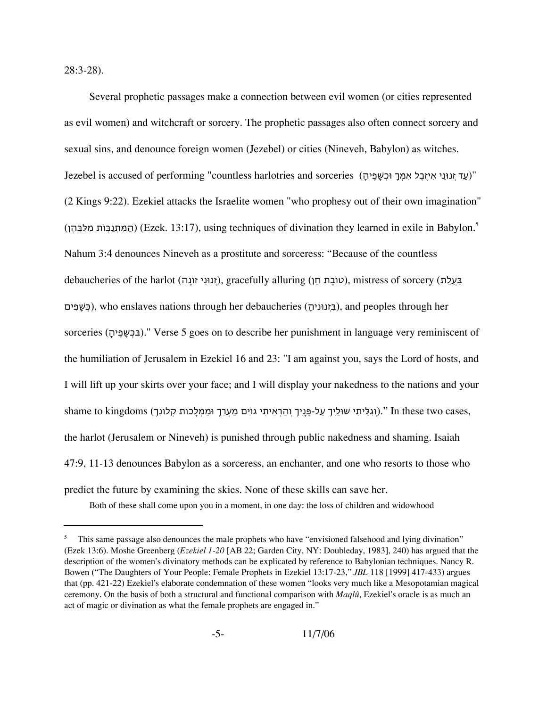28:3-28).

Several prophetic passages make a connection between evil women (or cities represented as evil women) and witchcraft or sorcery. The prophetic passages also often connect sorcery and sexual sins, and denounce foreign women (Jezebel) or cities (Nineveh, Babylon) as witches. Jezebel is accused of performing "countless harlotries and sorceries (עד זנוּנִי איזָבֶל אַמַּךְ וּכִשְׁפֵּיהַ (2 Kings 9:22). Ezekiel attacks the Israelite women "who prophesy out of their own imagination" המתנבּוֹת מלבּהן) (Ezek. 13:17), using techniques of divination they learned in exile in Babylon.<sup>5</sup> Nahum 3:4 denounces Nineveh as a prostitute and sorceress: "Because of the countless בַּעֲלַת), gracefully alluring (טוֹבַת חֵן), mistress of sorcery (נעלַת), mistress of sorcery יםִפָשְּׁכ(, who enslaves nations through her debaucheries (ָנוּניהְזִּב(, and peoples through her sorceries (בְּכָשָּׁפֵּיה)." Verse 5 goes on to describe her punishment in language very reminiscent of the humiliation of Jerusalem in Ezekiel 16 and 23: "I am against you, says the Lord of hosts, and I will lift up your skirts over your face; and I will display your nakedness to the nations and your shame to kingdoms (וְגִלֵּיתִי שׁוּלֵיךְ עַל-פָּנֵיךְ וְהַרְאֵיתִי גוֹיִם מַעְרֵךְ וּמַמְלָכוֹת קָלוֹנֵך). '' In these two cases, the harlot (Jerusalem or Nineveh) is punished through public nakedness and shaming. Isaiah 47:9, 11-13 denounces Babylon as a sorceress, an enchanter, and one who resorts to those who predict the future by examining the skies. None of these skills can save her.

Both of these shall come upon you in a moment, in one day: the loss of children and widowhood

This same passage also denounces the male prophets who have "envisioned falsehood and lying divination" (Ezek 13:6). Moshe Greenberg (*Ezekiel 1-20* [AB 22; Garden City, NY: Doubleday, 1983], 240) has argued that the description of the women's divinatory methods can be explicated by reference to Babylonian techniques. Nancy R. Bowen ("The Daughters of Your People: Female Prophets in Ezekiel 13:17-23," *JBL* 118 [1999] 417-433) argues that (pp. 421-22) Ezekiel's elaborate condemnation of these women "looks very much like a Mesopotamian magical ceremony. On the basis of both a structural and functional comparison with *Maqlû*, Ezekiel's oracle is as much an act of magic or divination as what the female prophets are engaged in."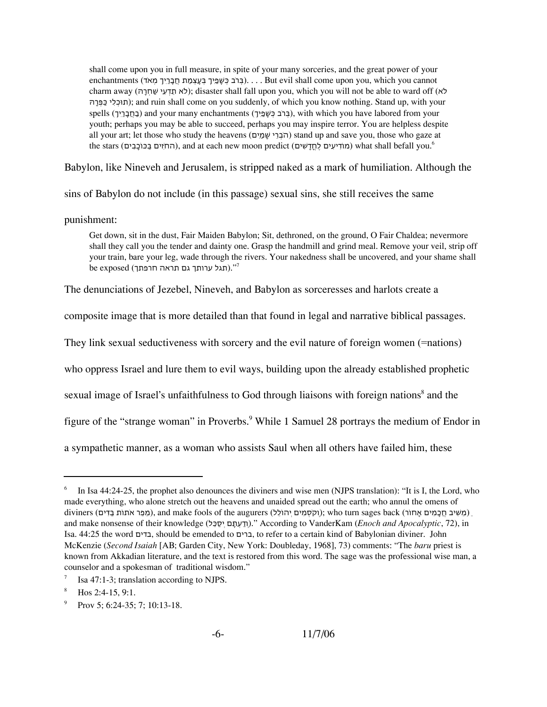shall come upon you in full measure, in spite of your many sorceries, and the great power of your enchantments (י... .Eut evil shall come upon you, which you cannot charm away (ּהָרְחַשׁ יִעְדֵת אֹל ;(disaster shall fall upon you, which you will not be able to ward off (אֹל ּהָרְּפַּכ יִלְתוּכ ;(and ruin shall come on you suddenly, of which you know nothing. Stand up, with your spells (בְחַבְּרֵיךְ) and your many enchantments (בְּרֹב כִּשְׁפַיִךְ), with which you have labored from your youth; perhaps you may be able to succeed, perhaps you may inspire terror. You are helpless despite all your art; let those who study the heavens (הְבְרִי שָׁמֵים) stand up and save you, those who gaze at the stars (החזים בַּכּוֹכֵבִים), and at each new moon predict (מוֹדִיעִים) what shall befall you.<sup>6</sup>

Babylon, like Nineveh and Jerusalem, is stripped naked as a mark of humiliation. Although the

sins of Babylon do not include (in this passage) sexual sins, she still receives the same

punishment:

Get down, sit in the dust, Fair Maiden Babylon; Sit, dethroned, on the ground, O Fair Chaldea; nevermore shall they call you the tender and dainty one. Grasp the handmill and grind meal. Remove your veil, strip off your train, bare your leg, wade through the rivers. Your nakedness shall be uncovered, and your shame shall be exposed (תגל ערותך גם תראה חרפתך)."<sup>7</sup>

The denunciations of Jezebel, Nineveh, and Babylon as sorceresses and harlots create a

composite image that is more detailed than that found in legal and narrative biblical passages.

They link sexual seductiveness with sorcery and the evil nature of foreign women (=nations)

who oppress Israel and lure them to evil ways, building upon the already established prophetic

sexual image of Israel's unfaithfulness to God through liaisons with foreign nations<sup>8</sup> and the

figure of the "strange woman" in Proverbs.<sup>9</sup> While 1 Samuel 28 portrays the medium of Endor in

a sympathetic manner, as a woman who assists Saul when all others have failed him, these

<sup>&</sup>lt;sup>6</sup> In Isa 44:24-25, the prophet also denounces the diviners and wise men (NJPS translation): "It is I, the Lord, who made everything, who alone stretch out the heavens and unaided spread out the earth; who annul the omens of diviners (מִפַּר אֹתוֹת בַּדִּים), and make fools of the augurers (הַמֹּשִׁיב חֲכָמִים אֶחוֹר); who turn sages back (מַפַּר א and make nonsense of their knowledge (לֵּכַסְי םָּתְעַדְו(. "According to VanderKam (*Enoch and Apocalyptic*, 72), in Isa. 44:25 the word בדים, should be emended to ברים, to refer to a certain kind of Babylonian diviner. John McKenzie (*Second Isaiah* [AB; Garden City, New York: Doubleday, 1968], 73) comments: "The *baru* priest is known from Akkadian literature, and the text is restored from this word. The sage was the professional wise man, a counselor and a spokesman of traditional wisdom."

Isa 47:1-3; translation according to NJPS.

Hos 2:4-15, 9:1.

Prov 5; 6:24-35; 7; 10:13-18.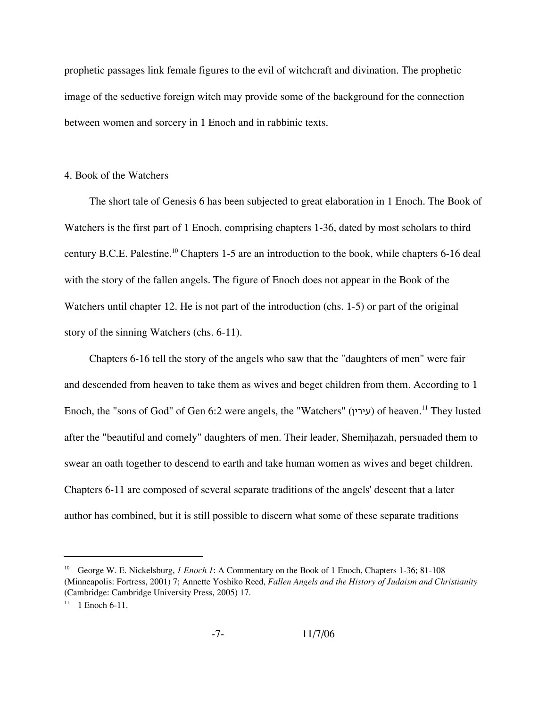prophetic passages link female figures to the evil of witchcraft and divination. The prophetic image of the seductive foreign witch may provide some of the background for the connection between women and sorcery in 1 Enoch and in rabbinic texts.

#### 4. Book of the Watchers

The short tale of Genesis 6 has been subjected to great elaboration in 1 Enoch. The Book of Watchers is the first part of 1 Enoch, comprising chapters 1-36, dated by most scholars to third century B.C.E. Palestine.<sup>10</sup> Chapters 1-5 are an introduction to the book, while chapters 6-16 deal with the story of the fallen angels. The figure of Enoch does not appear in the Book of the Watchers until chapter 12. He is not part of the introduction (chs. 1-5) or part of the original story of the sinning Watchers (chs. 6-11).

Chapters 6-16 tell the story of the angels who saw that the "daughters of men" were fair and descended from heaven to take them as wives and beget children from them. According to 1 Enoch, the "sons of God" of Gen 6:2 were angels, the "Watchers" (עירין) of heaven.<sup>11</sup> They lusted after the "beautiful and comely" daughters of men. Their leader, Shemihazah, persuaded them to swear an oath together to descend to earth and take human women as wives and beget children. Chapters 6-11 are composed of several separate traditions of the angels' descent that a later author has combined, but it is still possible to discern what some of these separate traditions

<sup>10</sup> George W. E. Nickelsburg, *1 Enoch 1*: A Commentary on the Book of 1 Enoch, Chapters 1-36; 81-108 (Minneapolis: Fortress, 2001) 7; Annette Yoshiko Reed, *Fallen Angels and the History of Judaism and Christianity* (Cambridge: Cambridge University Press, 2005) 17.

 $11$  1 Enoch 6-11.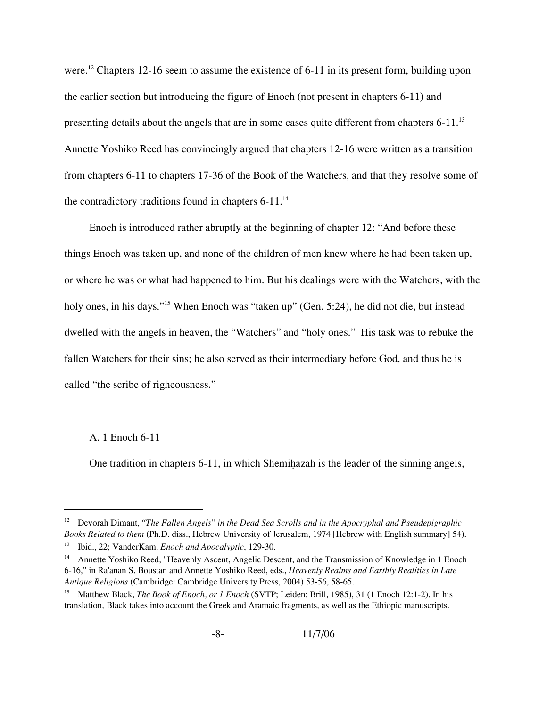were.<sup>12</sup> Chapters 12-16 seem to assume the existence of 6-11 in its present form, building upon the earlier section but introducing the figure of Enoch (not present in chapters 6-11) and presenting details about the angels that are in some cases quite different from chapters 6-11.<sup>13</sup> Annette Yoshiko Reed has convincingly argued that chapters 12-16 were written as a transition from chapters 6-11 to chapters 17-36 of the Book of the Watchers, and that they resolve some of the contradictory traditions found in chapters  $6-11$ .<sup>14</sup>

Enoch is introduced rather abruptly at the beginning of chapter 12: "And before these things Enoch was taken up, and none of the children of men knew where he had been taken up, or where he was or what had happened to him. But his dealings were with the Watchers, with the holy ones, in his days."<sup>15</sup> When Enoch was "taken up" (Gen. 5:24), he did not die, but instead dwelled with the angels in heaven, the "Watchers" and "holy ones." His task was to rebuke the fallen Watchers for their sins; he also served as their intermediary before God, and thus he is called "the scribe of righeousness."

### A. 1 Enoch 6-11

One tradition in chapters  $6-11$ , in which Shemihazah is the leader of the sinning angels,

<sup>&</sup>lt;sup>12</sup> Devorah Dimant, *"The Fallen Angels" in the Dead Sea Scrolls and in the Apocryphal and Pseudepigraphic Books Related to them* (Ph.D. diss., Hebrew University of Jerusalem, 1974 [Hebrew with English summary] 54).

<sup>13</sup> Ibid., 22; VanderKam, *Enoch and Apocalyptic*, 129-30.

<sup>&</sup>lt;sup>14</sup> Annette Yoshiko Reed, "Heavenly Ascent, Angelic Descent, and the Transmission of Knowledge in 1 Enoch 6-16," in Ra'anan S. Boustan and Annette Yoshiko Reed, eds., *Heavenly Realms and Earthly Realities in Late Antique Religions* (Cambridge: Cambridge University Press, 2004) 53-56, 58-65.

<sup>15</sup> Matthew Black, *The Book of Enoch, or 1 Enoch* (SVTP; Leiden: Brill, 1985), 31 (1 Enoch 12:1-2). In his translation, Black takes into account the Greek and Aramaic fragments, as well as the Ethiopic manuscripts.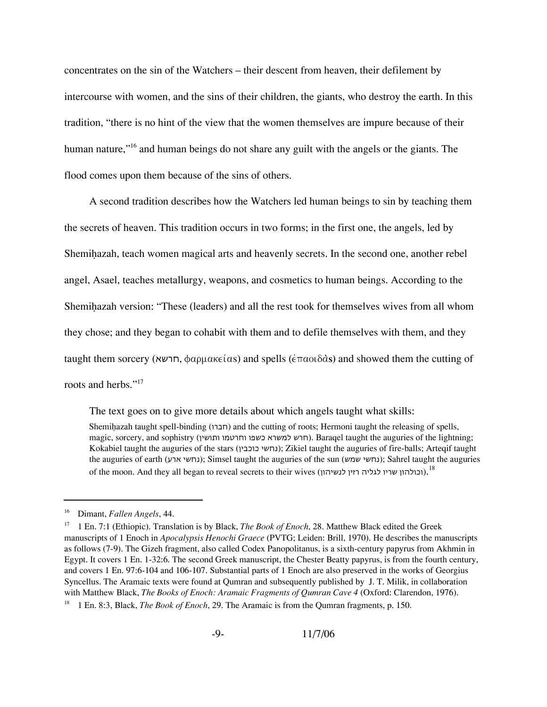concentrates on the sin of the Watchers – their descent from heaven, their defilement by intercourse with women, and the sins of their children, the giants, who destroy the earth. In this tradition, "there is no hint of the view that the women themselves are impure because of their human nature,"<sup>16</sup> and human beings do not share any guilt with the angels or the giants. The flood comes upon them because of the sins of others.

A second tradition describes how the Watchers led human beings to sin by teaching them the secrets of heaven. This tradition occurs in two forms; in the first one, the angels, led by Shemihazah, teach women magical arts and heavenly secrets. In the second one, another rebel angel, Asael, teaches metallurgy, weapons, and cosmetics to human beings. According to the Shemihazah version: "These (leaders) and all the rest took for themselves wives from all whom they chose; and they began to cohabit with them and to defile themselves with them, and they taught them sorcery (Π<sup>ι</sup>ψα), φαρμακείας and spells ( $\epsilon$ παοιδàs) and showed them the cutting of roots and herbs."<sup>17</sup>

The text goes on to give more details about which angels taught what skills:

Shemihazah taught spell-binding (חברו) and the cutting of roots; Hermoni taught the releasing of spells, magic, sorcery, and sophistry (חרש למשרא כשפו וחרטמו ותושין). Baraqel taught the auguries of the lightning; Kokabiel taught the auguries of the stars (כוכבין נחשי ;(Zikiel taught the auguries of fire-balls; Arteqif taught the auguries of earth (נחשי ארע); Simsel taught the auguries of the sun (נחשי שמש); Sahrel taught the auguries of the moon. And they all began to reveal secrets to their wives (וכולהון שריו לגליה רזין לנשיהון). $^{18}$ 

<sup>16</sup> Dimant, *Fallen Angels*, 44.

<sup>17</sup> 1 En. 7:1 (Ethiopic). Translation is by Black, *The Book of Enoch*, 28. Matthew Black edited the Greek manuscripts of 1 Enoch in *Apocalypsis Henochi Graece* (PVTG; Leiden: Brill, 1970). He describes the manuscripts as follows (7-9). The Gizeh fragment, also called Codex Panopolitanus, is a sixth-century papyrus from Akhmin in Egypt. It covers 1 En. 1-32:6. The second Greek manuscript, the Chester Beatty papyrus, is from the fourth century, and covers 1 En. 97:6-104 and 106-107. Substantial parts of 1 Enoch are also preserved in the works of Georgius Syncellus. The Aramaic texts were found at Qumran and subsequently published by J. T. Milik, in collaboration with Matthew Black, *The Books of Enoch: Aramaic Fragments of Qumran Cave 4* (Oxford: Clarendon, 1976). <sup>18</sup> 1 En. 8:3, Black, *The Book of Enoch*, 29. The Aramaic is from the Qumran fragments, p. 150.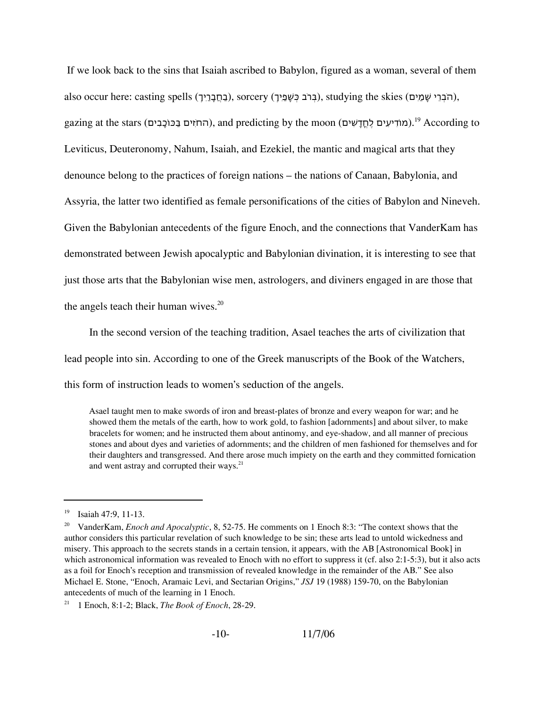If we look back to the sins that Isaiah ascribed to Babylon, figured as a woman, several of them also occur here: casting spells (בְּחֲבָרֵיךְ), sorcery (בְּרֹב כִּשָּׁפֵיךָ), studying the skies (הֹבְרֵי שַׁמַיִם), gazing at the stars (החֹזִים בַּכּוֹכַבִּים), and predicting by the moon (מוֹדִיעִים לֶחֲדַשִׁים).<sup>19</sup> According to Leviticus, Deuteronomy, Nahum, Isaiah, and Ezekiel, the mantic and magical arts that they denounce belong to the practices of foreign nations – the nations of Canaan, Babylonia, and Assyria, the latter two identified as female personifications of the cities of Babylon and Nineveh. Given the Babylonian antecedents of the figure Enoch, and the connections that VanderKam has demonstrated between Jewish apocalyptic and Babylonian divination, it is interesting to see that just those arts that the Babylonian wise men, astrologers, and diviners engaged in are those that the angels teach their human wives. $20$ 

In the second version of the teaching tradition, Asael teaches the arts of civilization that lead people into sin. According to one of the Greek manuscripts of the Book of the Watchers, this form of instruction leads to women's seduction of the angels.

Asael taught men to make swords of iron and breast-plates of bronze and every weapon for war; and he showed them the metals of the earth, how to work gold, to fashion [adornments] and about silver, to make bracelets for women; and he instructed them about antinomy, and eye-shadow, and all manner of precious stones and about dyes and varieties of adornments; and the children of men fashioned for themselves and for their daughters and transgressed. And there arose much impiety on the earth and they committed fornication and went astray and corrupted their ways.<sup>21</sup>

<sup>21</sup> 1 Enoch, 8:1-2; Black, *The Book of Enoch*, 28-29.

 $19$  Isaiah 47:9, 11-13.

<sup>20</sup> VanderKam, *Enoch and Apocalyptic*, 8, 52-75. He comments on 1 Enoch 8:3: "The context shows that the author considers this particular revelation of such knowledge to be sin; these arts lead to untold wickedness and misery. This approach to the secrets stands in a certain tension, it appears, with the AB [Astronomical Book] in which astronomical information was revealed to Enoch with no effort to suppress it (cf. also 2:1-5:3), but it also acts as a foil for Enoch's reception and transmission of revealed knowledge in the remainder of the AB." See also Michael E. Stone, "Enoch, Aramaic Levi, and Sectarian Origins," *JSJ* 19 (1988) 159-70, on the Babylonian antecedents of much of the learning in 1 Enoch.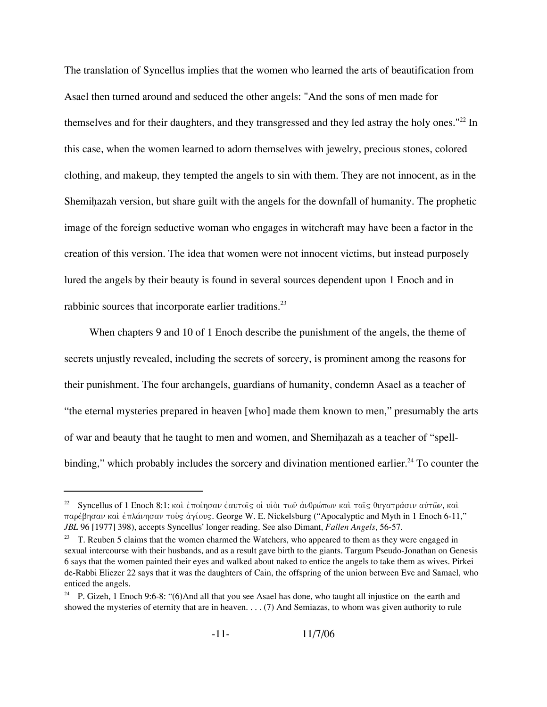The translation of Syncellus implies that the women who learned the arts of beautification from Asael then turned around and seduced the other angels: "And the sons of men made for themselves and for their daughters, and they transgressed and they led astray the holy ones."<sup>22</sup> In this case, when the women learned to adorn themselves with jewelry, precious stones, colored clothing, and makeup, they tempted the angels to sin with them. They are not innocent, as in the Shemihazah version, but share guilt with the angels for the downfall of humanity. The prophetic image of the foreign seductive woman who engages in witchcraft may have been a factor in the creation of this version. The idea that women were not innocent victims, but instead purposely lured the angels by their beauty is found in several sources dependent upon 1 Enoch and in rabbinic sources that incorporate earlier traditions.<sup>23</sup>

When chapters 9 and 10 of 1 Enoch describe the punishment of the angels, the theme of secrets unjustly revealed, including the secrets of sorcery, is prominent among the reasons for their punishment. The four archangels, guardians of humanity, condemn Asael as a teacher of "the eternal mysteries prepared in heaven [who] made them known to men," presumably the arts of war and beauty that he taught to men and women, and Shemihazah as a teacher of "spellbinding," which probably includes the sorcery and divination mentioned earlier.<sup>24</sup> To counter the

<sup>&</sup>lt;sup>22</sup> Syncellus of 1 Enoch 8:1: και έποίησαν έαυτοις οι υιοι των ανθρώπων και ταις θυγατράσιν αυτων, και παρέβησαν καὶ ἐπλάνησαν τοὺς ἀγίους. George W. E. Nickelsburg ("Apocalyptic and Myth in 1 Enoch 6-11," *JBL* 96 [1977] 398), accepts Syncellus' longer reading. See also Dimant, *Fallen Angels*, 56-57.

 $23$  T. Reuben 5 claims that the women charmed the Watchers, who appeared to them as they were engaged in sexual intercourse with their husbands, and as a result gave birth to the giants. Targum Pseudo-Jonathan on Genesis 6 says that the women painted their eyes and walked about naked to entice the angels to take them as wives. Pirkei de-Rabbi Eliezer 22 says that it was the daughters of Cain, the offspring of the union between Eve and Samael, who enticed the angels.

<sup>&</sup>lt;sup>24</sup> P. Gizeh, 1 Enoch 9:6-8: "(6)And all that you see Asael has done, who taught all injustice on the earth and showed the mysteries of eternity that are in heaven. . . . (7) And Semiazas, to whom was given authority to rule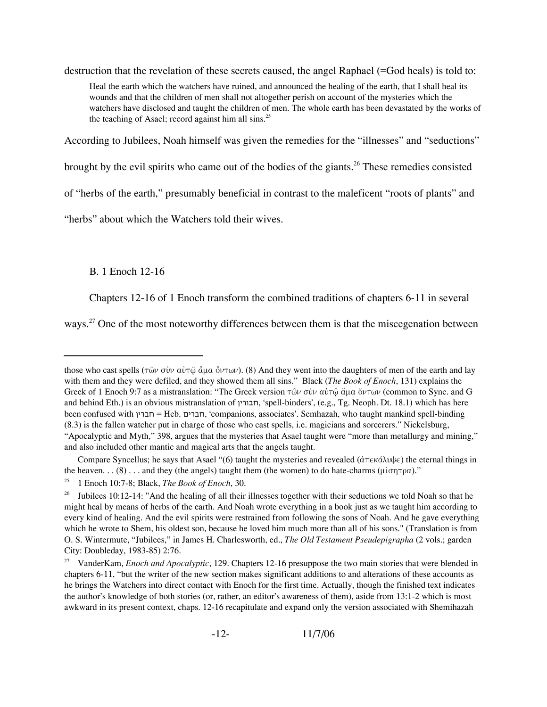destruction that the revelation of these secrets caused, the angel Raphael (=God heals) is told to:

Heal the earth which the watchers have ruined, and announced the healing of the earth, that I shall heal its wounds and that the children of men shall not altogether perish on account of the mysteries which the watchers have disclosed and taught the children of men. The whole earth has been devastated by the works of the teaching of Asael; record against him all sins.<sup>25</sup>

According to Jubilees, Noah himself was given the remedies for the "illnesses" and "seductions"

brought by the evil spirits who came out of the bodies of the giants.<sup>26</sup> These remedies consisted

of "herbs of the earth," presumably beneficial in contrast to the maleficent "roots of plants" and

"herbs" about which the Watchers told their wives.

B. 1 Enoch 12-16

Chapters 12-16 of 1 Enoch transform the combined traditions of chapters 6-11 in several

ways.<sup>27</sup> One of the most noteworthy differences between them is that the miscegenation between

those who cast spells ( $\tau \hat{\omega} \nu$   $\sigma \dot{\nu} \nu$   $\alpha \dot{\nu} \tau \hat{\omega} \dot{\alpha}$  and  $\dot{\alpha} \nu \tau \omega \nu$ ). (8) And they went into the daughters of men of the earth and lay with them and they were defiled, and they showed them all sins." Black (*The Book of Enoch*, 131) explains the Greek of 1 Enoch 9:7 as a mistranslation: "The Greek version  $\tau \hat{\omega} \nu$   $\sigma \dot{\nu} \nu$  a $\dot{\nu} \tau \hat{\omega}$   $\dot{\alpha}$  and  $\dot{\alpha}$   $\sigma$  and  $\dot{\alpha}$  Greek version  $\tau \dot{\omega} \nu$  and  $\dot{\alpha}$  and  $\dot{\alpha}$   $\sigma$ and behind Eth.) is an obvious mistranslation of חבורין,' spell-binders', (e.g., Tg. Neoph. Dt. 18.1) which has here been confused with חברין = Heb. חברים,' companions, associates'. Semhazah, who taught mankind spell-binding (8.3) is the fallen watcher put in charge of those who cast spells, i.e. magicians and sorcerers." Nickelsburg, "Apocalyptic and Myth," 398, argues that the mysteries that Asael taught were "more than metallurgy and mining," and also included other mantic and magical arts that the angels taught.

Compare Syncellus; he says that Asael "(6) taught the mysteries and revealed  $(d\pi \epsilon \kappa d\lambda \psi \epsilon)$  the eternal things in the heaven. . . (8) . . . and they (the angels) taught them (the women) to do hate-charms ( $\mu$ ίσητρα)."

<sup>25</sup> 1 Enoch 10:7-8; Black, *The Book of Enoch*, 30.

<sup>&</sup>lt;sup>26</sup> Jubilees 10:12-14: "And the healing of all their illnesses together with their seductions we told Noah so that he might heal by means of herbs of the earth. And Noah wrote everything in a book just as we taught him according to every kind of healing. And the evil spirits were restrained from following the sons of Noah. And he gave everything which he wrote to Shem, his oldest son, because he loved him much more than all of his sons." (Translation is from O. S. Wintermute, "Jubilees," in James H. Charlesworth, ed., *The Old Testament Pseudepigrapha* (2 vols.; garden City: Doubleday, 1983-85) 2:76.

<sup>27</sup> VanderKam, *Enoch and Apocalyptic*, 129. Chapters 12-16 presuppose the two main stories that were blended in chapters 6-11, "but the writer of the new section makes significant additions to and alterations of these accounts as he brings the Watchers into direct contact with Enoch for the first time. Actually, though the finished text indicates the author's knowledge of both stories (or, rather, an editor's awareness of them), aside from 13:1-2 which is most awkward in its present context, chaps. 12-16 recapitulate and expand only the version associated with Shemihazah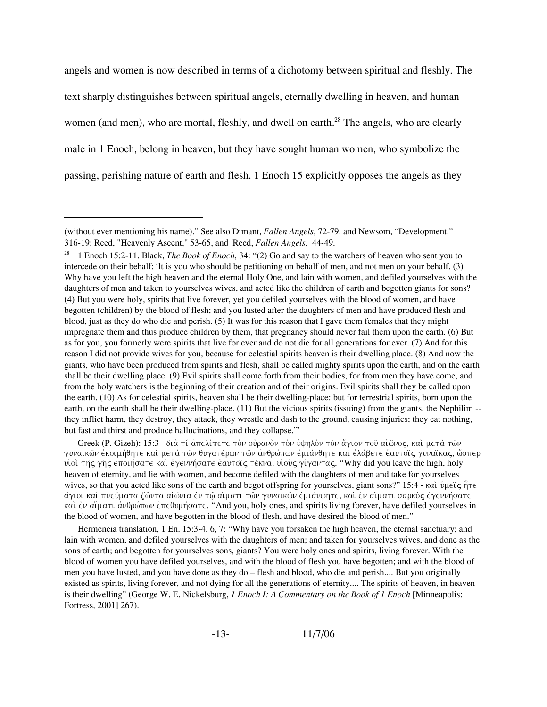angels and women is now described in terms of a dichotomy between spiritual and fleshly. The text sharply distinguishes between spiritual angels, eternally dwelling in heaven, and human women (and men), who are mortal, fleshly, and dwell on earth.<sup>28</sup> The angels, who are clearly male in 1 Enoch, belong in heaven, but they have sought human women, who symbolize the passing, perishing nature of earth and flesh. 1 Enoch 15 explicitly opposes the angels as they

Greek (P. Gizeh): 15:3 - διά τί άπελίπετε τον ουρανον τον υψηλον τον άγιον του αίωνος, και μετα των γυναικῶν ἐκοιμήθητε καὶ μετὰ τῶν θυγατέρων τῶν ἀνθρώπων ἐμιάνθητε καὶ ἐλάβετε ἑαυτοῖς γυναῖκας, ὥσπερ υίοι της γης έποιήσατε και έγεννήσατε έαυτοις τέκνα, υιούς γίγαντας. "Why did you leave the high, holy heaven of eternity, and lie with women, and become defiled with the daughters of men and take for yourselves wives, so that you acted like sons of the earth and begot offspring for yourselves, giant sons?" 15:4 - kai;  $\psi\mu\epsilon\hat{\zeta}$   $\hat{\eta}\tau\epsilon$ ăγιοι καὶ πνεύματα ζῶντα αἰώνια ἐν τῶ αἵματι τῶν γυναικῶν ἐμιάνωητε, καὶ ἐν αἴματι σαρκὸς ἐγεννήσατε και έν αίματι άνθρώπων έπεθυμήσατε. "And you, holy ones, and spirits living forever, have defiled yourselves in the blood of women, and have begotten in the blood of flesh, and have desired the blood of men."

Hermeneia translation, 1 En. 15:3-4, 6, 7: "Why have you forsaken the high heaven, the eternal sanctuary; and lain with women, and defiled yourselves with the daughters of men; and taken for yourselves wives, and done as the sons of earth; and begotten for yourselves sons, giants? You were holy ones and spirits, living forever. With the blood of women you have defiled yourselves, and with the blood of flesh you have begotten; and with the blood of men you have lusted, and you have done as they do – flesh and blood, who die and perish.... But you originally existed as spirits, living forever, and not dying for all the generations of eternity.... The spirits of heaven, in heaven is their dwelling" (George W. E. Nickelsburg, *1 Enoch I: A Commentary on the Book of 1 Enoch* [Minneapolis: Fortress, 2001] 267).

-13- 11/7/06

<sup>(</sup>without ever mentioning his name)." See also Dimant, *Fallen Angels*, 72-79, and Newsom, "Development," 316-19; Reed, "Heavenly Ascent," 53-65, and Reed, *Fallen Angels*, 44-49.

<sup>28</sup> 1 Enoch 15:2-11. Black, *The Book of Enoch*, 34: "(2) Go and say to the watchers of heaven who sent you to intercede on their behalf: 'It is you who should be petitioning on behalf of men, and not men on your behalf. (3) Why have you left the high heaven and the eternal Holy One, and lain with women, and defiled yourselves with the daughters of men and taken to yourselves wives, and acted like the children of earth and begotten giants for sons? (4) But you were holy, spirits that live forever, yet you defiled yourselves with the blood of women, and have begotten (children) by the blood of flesh; and you lusted after the daughters of men and have produced flesh and blood, just as they do who die and perish. (5) It was for this reason that I gave them females that they might impregnate them and thus produce children by them, that pregnancy should never fail them upon the earth. (6) But as for you, you formerly were spirits that live for ever and do not die for all generations for ever. (7) And for this reason I did not provide wives for you, because for celestial spirits heaven is their dwelling place. (8) And now the giants, who have been produced from spirits and flesh, shall be called mighty spirits upon the earth, and on the earth shall be their dwelling place. (9) Evil spirits shall come forth from their bodies, for from men they have come, and from the holy watchers is the beginning of their creation and of their origins. Evil spirits shall they be called upon the earth. (10) As for celestial spirits, heaven shall be their dwelling-place: but for terrestrial spirits, born upon the earth, on the earth shall be their dwelling-place. (11) But the vicious spirits (issuing) from the giants, the Nephilim -they inflict harm, they destroy, they attack, they wrestle and dash to the ground, causing injuries; they eat nothing, but fast and thirst and produce hallucinations, and they collapse.'"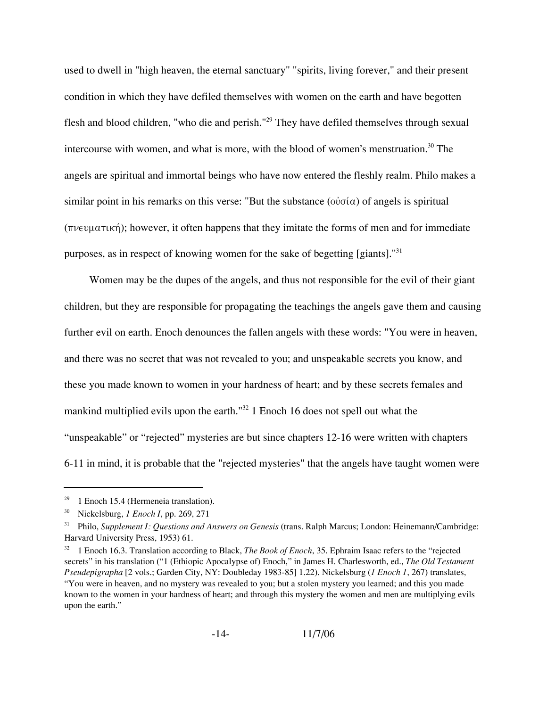used to dwell in "high heaven, the eternal sanctuary" "spirits, living forever," and their present condition in which they have defiled themselves with women on the earth and have begotten flesh and blood children, "who die and perish."29 They have defiled themselves through sexual intercourse with women, and what is more, with the blood of women's menstruation.<sup>30</sup> The angels are spiritual and immortal beings who have now entered the fleshly realm. Philo makes a similar point in his remarks on this verse: "But the substance ( $\phi \phi \sigma(\alpha)$ ) of angels is spiritual  $(\pi\nu \in \nu \mu \alpha \tau \mu \kappa)$ ; however, it often happens that they imitate the forms of men and for immediate purposes, as in respect of knowing women for the sake of begetting [giants]."<sup>31</sup>

Women may be the dupes of the angels, and thus not responsible for the evil of their giant children, but they are responsible for propagating the teachings the angels gave them and causing further evil on earth. Enoch denounces the fallen angels with these words: "You were in heaven, and there was no secret that was not revealed to you; and unspeakable secrets you know, and these you made known to women in your hardness of heart; and by these secrets females and mankind multiplied evils upon the earth."32 1 Enoch 16 does not spell out what the "unspeakable" or "rejected" mysteries are but since chapters 12-16 were written with chapters 6-11 in mind, it is probable that the "rejected mysteries" that the angels have taught women were

 $29$  1 Enoch 15.4 (Hermeneia translation).

<sup>30</sup> Nickelsburg, *1 Enoch I*, pp. 269, 271

<sup>31</sup> Philo, *Supplement I: Questions and Answers on Genesis* (trans. Ralph Marcus; London: Heinemann/Cambridge: Harvard University Press, 1953) 61.

<sup>&</sup>lt;sup>32</sup> 1 Enoch 16.3. Translation according to Black, *The Book of Enoch*, 35. Ephraim Isaac refers to the "rejected secrets" in his translation ("1 (Ethiopic Apocalypse of) Enoch," in James H. Charlesworth, ed., *The Old Testament Pseudepigrapha* [2 vols.; Garden City, NY: Doubleday 1983-85] 1.22). Nickelsburg (*1 Enoch 1*, 267) translates, "You were in heaven, and no mystery was revealed to you; but a stolen mystery you learned; and this you made known to the women in your hardness of heart; and through this mystery the women and men are multiplying evils upon the earth."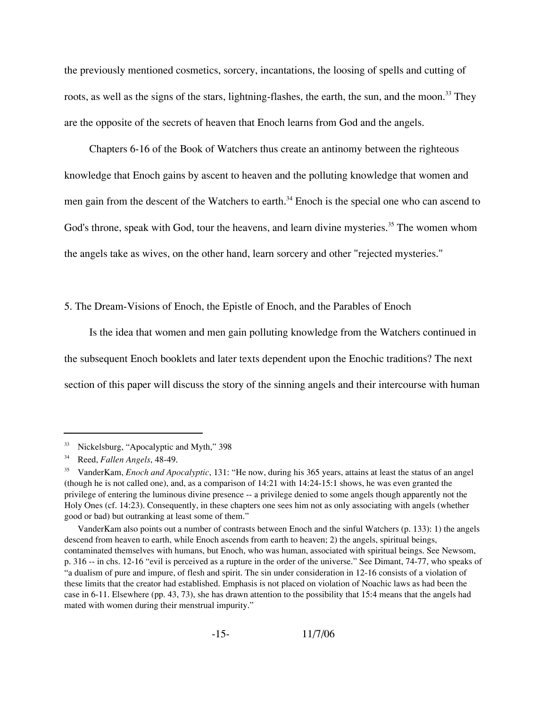the previously mentioned cosmetics, sorcery, incantations, the loosing of spells and cutting of roots, as well as the signs of the stars, lightning-flashes, the earth, the sun, and the moon.<sup>33</sup> They are the opposite of the secrets of heaven that Enoch learns from God and the angels.

Chapters 6-16 of the Book of Watchers thus create an antinomy between the righteous knowledge that Enoch gains by ascent to heaven and the polluting knowledge that women and men gain from the descent of the Watchers to earth.<sup>34</sup> Enoch is the special one who can ascend to God's throne, speak with God, tour the heavens, and learn divine mysteries.<sup>35</sup> The women whom the angels take as wives, on the other hand, learn sorcery and other "rejected mysteries."

5. The Dream-Visions of Enoch, the Epistle of Enoch, and the Parables of Enoch

Is the idea that women and men gain polluting knowledge from the Watchers continued in the subsequent Enoch booklets and later texts dependent upon the Enochic traditions? The next section of this paper will discuss the story of the sinning angels and their intercourse with human

<sup>33</sup> Nickelsburg, "Apocalyptic and Myth," 398

<sup>34</sup> Reed, *Fallen Angels*, 48-49.

<sup>35</sup> VanderKam, *Enoch and Apocalyptic*, 131: "He now, during his 365 years, attains at least the status of an angel (though he is not called one), and, as a comparison of 14:21 with 14:24-15:1 shows, he was even granted the privilege of entering the luminous divine presence -- a privilege denied to some angels though apparently not the Holy Ones (cf. 14:23). Consequently, in these chapters one sees him not as only associating with angels (whether good or bad) but outranking at least some of them."

VanderKam also points out a number of contrasts between Enoch and the sinful Watchers (p. 133): 1) the angels descend from heaven to earth, while Enoch ascends from earth to heaven; 2) the angels, spiritual beings, contaminated themselves with humans, but Enoch, who was human, associated with spiritual beings. See Newsom, p. 316 -- in chs. 12-16 "evil is perceived as a rupture in the order of the universe." See Dimant, 74-77, who speaks of "a dualism of pure and impure, of flesh and spirit. The sin under consideration in 12-16 consists of a violation of these limits that the creator had established. Emphasis is not placed on violation of Noachic laws as had been the case in 6-11. Elsewhere (pp. 43, 73), she has drawn attention to the possibility that 15:4 means that the angels had mated with women during their menstrual impurity."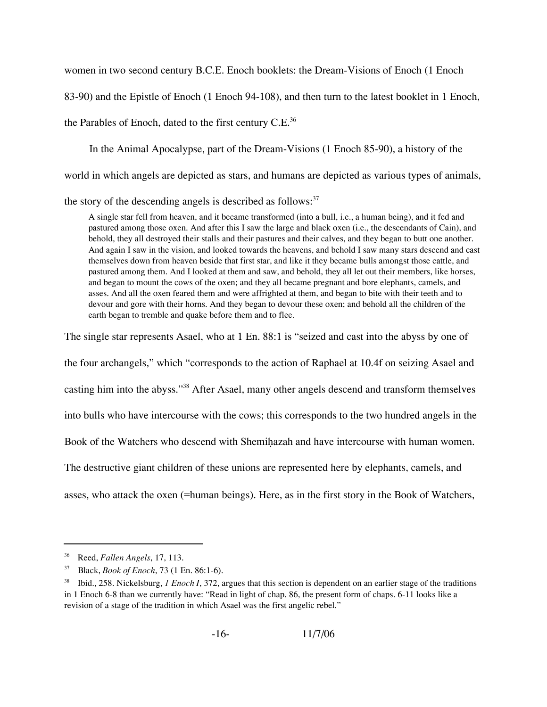women in two second century B.C.E. Enoch booklets: the Dream-Visions of Enoch (1 Enoch

83-90) and the Epistle of Enoch (1 Enoch 94-108), and then turn to the latest booklet in 1 Enoch,

the Parables of Enoch, dated to the first century C.E.<sup>36</sup>

In the Animal Apocalypse, part of the Dream-Visions (1 Enoch 85-90), a history of the

world in which angels are depicted as stars, and humans are depicted as various types of animals,

the story of the descending angels is described as follows: $37$ 

A single star fell from heaven, and it became transformed (into a bull, i.e., a human being), and it fed and pastured among those oxen. And after this I saw the large and black oxen (i.e., the descendants of Cain), and behold, they all destroyed their stalls and their pastures and their calves, and they began to butt one another. And again I saw in the vision, and looked towards the heavens, and behold I saw many stars descend and cast themselves down from heaven beside that first star, and like it they became bulls amongst those cattle, and pastured among them. And I looked at them and saw, and behold, they all let out their members, like horses, and began to mount the cows of the oxen; and they all became pregnant and bore elephants, camels, and asses. And all the oxen feared them and were affrighted at them, and began to bite with their teeth and to devour and gore with their horns. And they began to devour these oxen; and behold all the children of the earth began to tremble and quake before them and to flee.

The single star represents Asael, who at 1 En. 88:1 is "seized and cast into the abyss by one of

the four archangels," which "corresponds to the action of Raphael at 10.4f on seizing Asael and

casting him into the abyss."38 After Asael, many other angels descend and transform themselves

into bulls who have intercourse with the cows; this corresponds to the two hundred angels in the

Book of the Watchers who descend with Shemihazah and have intercourse with human women.

The destructive giant children of these unions are represented here by elephants, camels, and

asses, who attack the oxen (=human beings). Here, as in the first story in the Book of Watchers,

<sup>36</sup> Reed, *Fallen Angels*, 17, 113.

<sup>37</sup> Black, *Book of Enoch*, 73 (1 En. 86:1-6).

<sup>38</sup> Ibid., 258. Nickelsburg, *1 Enoch I*, 372, argues that this section is dependent on an earlier stage of the traditions in 1 Enoch 6-8 than we currently have: "Read in light of chap. 86, the present form of chaps. 6-11 looks like a revision of a stage of the tradition in which Asael was the first angelic rebel."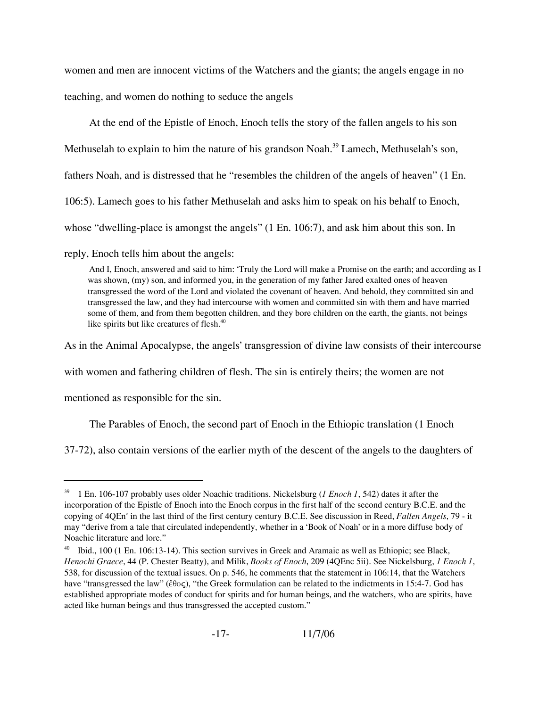women and men are innocent victims of the Watchers and the giants; the angels engage in no

teaching, and women do nothing to seduce the angels

At the end of the Epistle of Enoch, Enoch tells the story of the fallen angels to his son

Methuselah to explain to him the nature of his grandson Noah.<sup>39</sup> Lamech, Methuselah's son,

fathers Noah, and is distressed that he "resembles the children of the angels of heaven" (1 En.

106:5). Lamech goes to his father Methuselah and asks him to speak on his behalf to Enoch,

whose "dwelling-place is amongst the angels" (1 En. 106:7), and ask him about this son. In

reply, Enoch tells him about the angels:

And I, Enoch, answered and said to him: 'Truly the Lord will make a Promise on the earth; and according as I was shown, (my) son, and informed you, in the generation of my father Jared exalted ones of heaven transgressed the word of the Lord and violated the covenant of heaven. And behold, they committed sin and transgressed the law, and they had intercourse with women and committed sin with them and have married some of them, and from them begotten children, and they bore children on the earth, the giants, not beings like spirits but like creatures of flesh.<sup>40</sup>

As in the Animal Apocalypse, the angels' transgression of divine law consists of their intercourse

with women and fathering children of flesh. The sin is entirely theirs; the women are not

mentioned as responsible for the sin.

The Parables of Enoch, the second part of Enoch in the Ethiopic translation (1 Enoch

37-72), also contain versions of the earlier myth of the descent of the angels to the daughters of

Ibid., 100 (1 En. 106:13-14). This section survives in Greek and Aramaic as well as Ethiopic; see Black, *Henochi Graece*, 44 (P. Chester Beatty), and Milik, *Books of Enoch*, 209 (4QEnc 5ii). See Nickelsburg, *1 Enoch 1*, 538, for discussion of the textual issues. On p. 546, he comments that the statement in 106:14, that the Watchers have "transgressed the law" ( $\epsilon$ 00 $\varsigma$ ), "the Greek formulation can be related to the indictments in 15:4-7. God has established appropriate modes of conduct for spirits and for human beings, and the watchers, who are spirits, have acted like human beings and thus transgressed the accepted custom."



<sup>39</sup> 1 En. 106-107 probably uses older Noachic traditions. Nickelsburg (*1 Enoch 1*, 542) dates it after the incorporation of the Epistle of Enoch into the Enoch corpus in the first half of the second century B.C.E. and the copying of 4QEn<sup>c</sup> in the last third of the first century century B.C.E. See discussion in Reed, *Fallen Angels*, 79 - it may "derive from a tale that circulated independently, whether in a 'Book of Noah' or in a more diffuse body of Noachic literature and lore."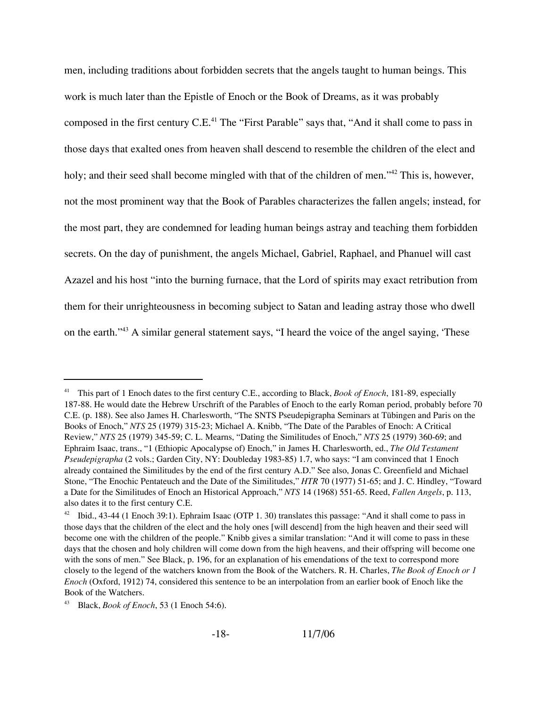men, including traditions about forbidden secrets that the angels taught to human beings. This work is much later than the Epistle of Enoch or the Book of Dreams, as it was probably composed in the first century C.E.<sup>41</sup> The "First Parable" says that, "And it shall come to pass in those days that exalted ones from heaven shall descend to resemble the children of the elect and holy; and their seed shall become mingled with that of the children of men."<sup>42</sup> This is, however, not the most prominent way that the Book of Parables characterizes the fallen angels; instead, for the most part, they are condemned for leading human beings astray and teaching them forbidden secrets. On the day of punishment, the angels Michael, Gabriel, Raphael, and Phanuel will cast Azazel and his host "into the burning furnace, that the Lord of spirits may exact retribution from them for their unrighteousness in becoming subject to Satan and leading astray those who dwell on the earth."43 A similar general statement says, "I heard the voice of the angel saying, 'These

<sup>41</sup> This part of 1 Enoch dates to the first century C.E., according to Black, *Book of Enoch*, 181-89, especially 187-88. He would date the Hebrew Urschrift of the Parables of Enoch to the early Roman period, probably before 70 C.E. (p. 188). See also James H. Charlesworth, "The SNTS Pseudepigrapha Seminars at Tübingen and Paris on the Books of Enoch," *NTS* 25 (1979) 315-23; Michael A. Knibb, "The Date of the Parables of Enoch: A Critical Review," *NTS* 25 (1979) 345-59; C. L. Mearns, "Dating the Similitudes of Enoch," *NTS* 25 (1979) 360-69; and Ephraim Isaac, trans., "1 (Ethiopic Apocalypse of) Enoch," in James H. Charlesworth, ed., *The Old Testament Pseudepigrapha* (2 vols.; Garden City, NY: Doubleday 1983-85) 1.7, who says: "I am convinced that 1 Enoch already contained the Similitudes by the end of the first century A.D." See also, Jonas C. Greenfield and Michael Stone, "The Enochic Pentateuch and the Date of the Similitudes," *HTR* 70 (1977) 51-65; and J. C. Hindley, "Toward a Date for the Similitudes of Enoch an Historical Approach," *NTS* 14 (1968) 551-65. Reed, *Fallen Angels*, p. 113, also dates it to the first century C.E.

<sup>&</sup>lt;sup>42</sup> Ibid., 43-44 (1 Enoch 39:1). Ephraim Isaac (OTP 1. 30) translates this passage: "And it shall come to pass in those days that the children of the elect and the holy ones [will descend] from the high heaven and their seed will become one with the children of the people." Knibb gives a similar translation: "And it will come to pass in these days that the chosen and holy children will come down from the high heavens, and their offspring will become one with the sons of men." See Black, p. 196, for an explanation of his emendations of the text to correspond more closely to the legend of the watchers known from the Book of the Watchers. R. H. Charles, *The Book of Enoch or 1 Enoch* (Oxford, 1912) 74, considered this sentence to be an interpolation from an earlier book of Enoch like the Book of the Watchers.

<sup>43</sup> Black, *Book of Enoch*, 53 (1 Enoch 54:6).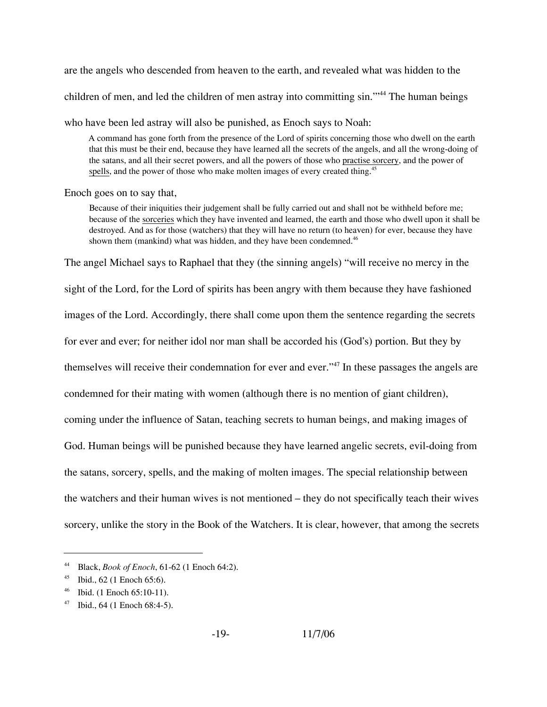are the angels who descended from heaven to the earth, and revealed what was hidden to the children of men, and led the children of men astray into committing sin."<sup>44</sup> The human beings

who have been led astray will also be punished, as Enoch says to Noah:

A command has gone forth from the presence of the Lord of spirits concerning those who dwell on the earth that this must be their end, because they have learned all the secrets of the angels, and all the wrong-doing of the satans, and all their secret powers, and all the powers of those who practise sorcery, and the power of spells, and the power of those who make molten images of every created thing.<sup>45</sup>

Enoch goes on to say that,

Because of their iniquities their judgement shall be fully carried out and shall not be withheld before me; because of the sorceries which they have invented and learned, the earth and those who dwell upon it shall be destroyed. And as for those (watchers) that they will have no return (to heaven) for ever, because they have shown them (mankind) what was hidden, and they have been condemned.<sup>46</sup>

The angel Michael says to Raphael that they (the sinning angels) "will receive no mercy in the

sight of the Lord, for the Lord of spirits has been angry with them because they have fashioned

images of the Lord. Accordingly, there shall come upon them the sentence regarding the secrets

for ever and ever; for neither idol nor man shall be accorded his (God's) portion. But they by

themselves will receive their condemnation for ever and ever."47 In these passages the angels are

condemned for their mating with women (although there is no mention of giant children),

coming under the influence of Satan, teaching secrets to human beings, and making images of

God. Human beings will be punished because they have learned angelic secrets, evil-doing from

the satans, sorcery, spells, and the making of molten images. The special relationship between

the watchers and their human wives is not mentioned – they do not specifically teach their wives

sorcery, unlike the story in the Book of the Watchers. It is clear, however, that among the secrets

<sup>44</sup> Black, *Book of Enoch*, 61-62 (1 Enoch 64:2).

<sup>45</sup> Ibid., 62 (1 Enoch 65:6).

<sup>46</sup> Ibid. (1 Enoch 65:10-11).

 $47$  Ibid., 64 (1 Enoch 68:4-5).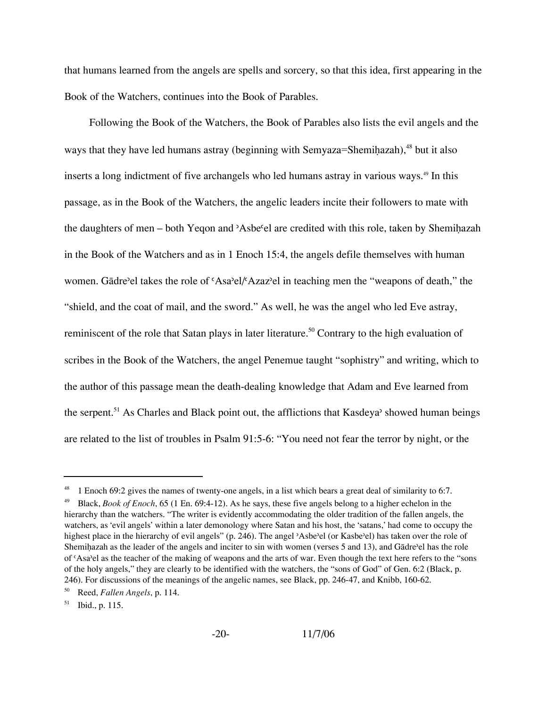that humans learned from the angels are spells and sorcery, so that this idea, first appearing in the Book of the Watchers, continues into the Book of Parables.

Following the Book of the Watchers, the Book of Parables also lists the evil angels and the ways that they have led humans astray (beginning with Semyaza=Shemihazah), $48$  but it also inserts a long indictment of five archangels who led humans astray in various ways.<sup>49</sup> In this passage, as in the Book of the Watchers, the angelic leaders incite their followers to mate with the daughters of men – both Yeqon and 'Asbe<sup>*c*</sup>el are credited with this role, taken by Shemihazah in the Book of the Watchers and as in 1 Enoch 15:4, the angels defile themselves with human women. Gādre'el takes the role of 'Asa'el/'Azaz'el in teaching men the "weapons of death," the "shield, and the coat of mail, and the sword." As well, he was the angel who led Eve astray, reminiscent of the role that Satan plays in later literature.<sup>50</sup> Contrary to the high evaluation of scribes in the Book of the Watchers, the angel Penemue taught "sophistry" and writing, which to the author of this passage mean the death-dealing knowledge that Adam and Eve learned from the serpent.<sup>51</sup> As Charles and Black point out, the afflictions that Kasdeya' showed human beings are related to the list of troubles in Psalm 91:5-6: "You need not fear the terror by night, or the

<sup>1</sup> Enoch 69:2 gives the names of twenty-one angels, in a list which bears a great deal of similarity to 6:7.

<sup>49</sup> Black, *Book of Enoch*, 65 (1 En. 69:4-12). As he says, these five angels belong to a higher echelon in the hierarchy than the watchers. "The writer is evidently accommodating the older tradition of the fallen angels, the watchers, as 'evil angels' within a later demonology where Satan and his host, the 'satans,' had come to occupy the highest place in the hierarchy of evil angels" (p. 246). The angel 'Asbe'el (or Kasbe'el) has taken over the role of Shemihazah as the leader of the angels and inciter to sin with women (verses 5 and 13), and Gādre'el has the role of 'Asa'el as the teacher of the making of weapons and the arts of war. Even though the text here refers to the "sons" of the holy angels," they are clearly to be identified with the watchers, the "sons of God" of Gen. 6:2 (Black, p. 246). For discussions of the meanings of the angelic names, see Black, pp. 246-47, and Knibb, 160-62.

<sup>50</sup> Reed, *Fallen Angels*, p. 114.

 $51$  Ibid., p. 115.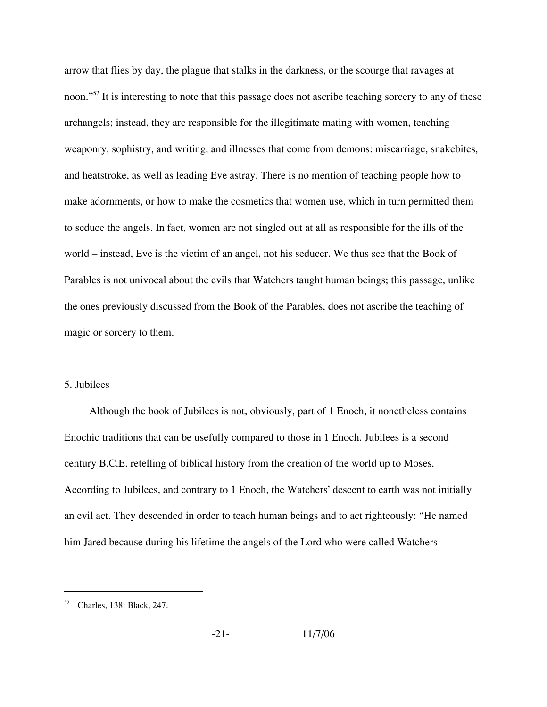arrow that flies by day, the plague that stalks in the darkness, or the scourge that ravages at noon."<sup>52</sup> It is interesting to note that this passage does not ascribe teaching sorcery to any of these archangels; instead, they are responsible for the illegitimate mating with women, teaching weaponry, sophistry, and writing, and illnesses that come from demons: miscarriage, snakebites, and heatstroke, as well as leading Eve astray. There is no mention of teaching people how to make adornments, or how to make the cosmetics that women use, which in turn permitted them to seduce the angels. In fact, women are not singled out at all as responsible for the ills of the world – instead, Eve is the victim of an angel, not his seducer. We thus see that the Book of Parables is not univocal about the evils that Watchers taught human beings; this passage, unlike the ones previously discussed from the Book of the Parables, does not ascribe the teaching of magic or sorcery to them.

### 5. Jubilees

Although the book of Jubilees is not, obviously, part of 1 Enoch, it nonetheless contains Enochic traditions that can be usefully compared to those in 1 Enoch. Jubilees is a second century B.C.E. retelling of biblical history from the creation of the world up to Moses. According to Jubilees, and contrary to 1 Enoch, the Watchers' descent to earth was not initially an evil act. They descended in order to teach human beings and to act righteously: "He named him Jared because during his lifetime the angels of the Lord who were called Watchers

<sup>52</sup> Charles, 138; Black, 247.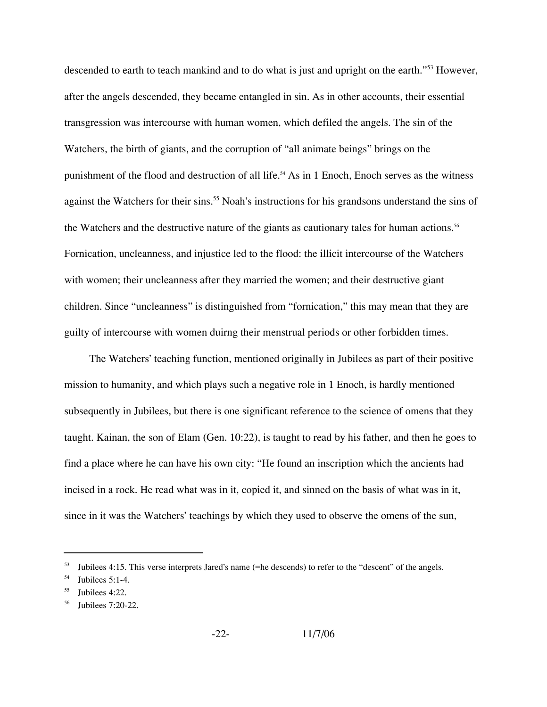descended to earth to teach mankind and to do what is just and upright on the earth."<sup>53</sup> However, after the angels descended, they became entangled in sin. As in other accounts, their essential transgression was intercourse with human women, which defiled the angels. The sin of the Watchers, the birth of giants, and the corruption of "all animate beings" brings on the punishment of the flood and destruction of all life.<sup>54</sup> As in 1 Enoch, Enoch serves as the witness against the Watchers for their sins.<sup>55</sup> Noah's instructions for his grandsons understand the sins of the Watchers and the destructive nature of the giants as cautionary tales for human actions.<sup>56</sup> Fornication, uncleanness, and injustice led to the flood: the illicit intercourse of the Watchers with women; their uncleanness after they married the women; and their destructive giant children. Since "uncleanness" is distinguished from "fornication," this may mean that they are guilty of intercourse with women duirng their menstrual periods or other forbidden times.

The Watchers' teaching function, mentioned originally in Jubilees as part of their positive mission to humanity, and which plays such a negative role in 1 Enoch, is hardly mentioned subsequently in Jubilees, but there is one significant reference to the science of omens that they taught. Kainan, the son of Elam (Gen. 10:22), is taught to read by his father, and then he goes to find a place where he can have his own city: "He found an inscription which the ancients had incised in a rock. He read what was in it, copied it, and sinned on the basis of what was in it, since in it was the Watchers' teachings by which they used to observe the omens of the sun,

Jubilees 4:15. This verse interprets Jared's name (=he descends) to refer to the "descent" of the angels.

 $54$  Jubilees 5:1-4.

 $55$  Jubilees 4:22.

Jubilees 7:20-22.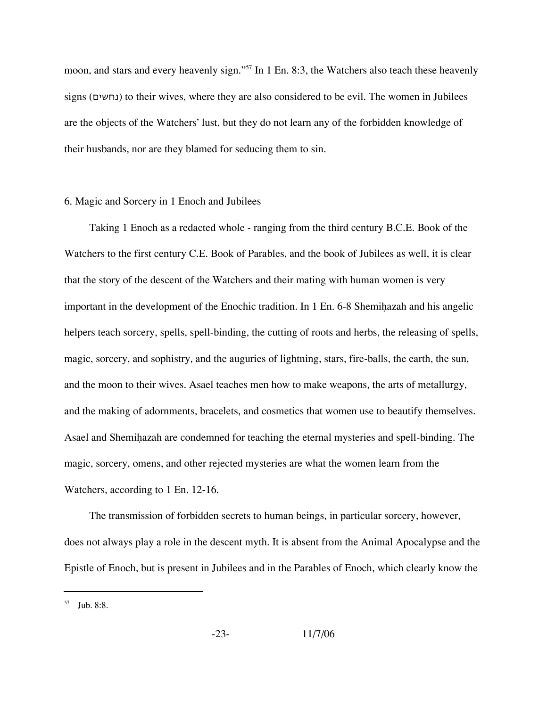moon, and stars and every heavenly sign."<sup>57</sup> In 1 En. 8:3, the Watchers also teach these heavenly signs (נחשים) to their wives, where they are also considered to be evil. The women in Jubilees are the objects of the Watchers' lust, but they do not learn any of the forbidden knowledge of their husbands, nor are they blamed for seducing them to sin.

### 6. Magic and Sorcery in 1 Enoch and Jubilees

Taking 1 Enoch as a redacted whole - ranging from the third century B.C.E. Book of the Watchers to the first century C.E. Book of Parables, and the book of Jubilees as well, it is clear that the story of the descent of the Watchers and their mating with human women is very important in the development of the Enochic tradition. In  $1 \text{ En. } 6-8$  Shemihazah and his angelic helpers teach sorcery, spells, spell-binding, the cutting of roots and herbs, the releasing of spells, magic, sorcery, and sophistry, and the auguries of lightning, stars, fire-balls, the earth, the sun, and the moon to their wives. Asael teaches men how to make weapons, the arts of metallurgy, and the making of adornments, bracelets, and cosmetics that women use to beautify themselves. Asael and Shemihazah are condemned for teaching the eternal mysteries and spell-binding. The magic, sorcery, omens, and other rejected mysteries are what the women learn from the Watchers, according to 1 En. 12-16.

The transmission of forbidden secrets to human beings, in particular sorcery, however, does not always play a role in the descent myth. It is absent from the Animal Apocalypse and the Epistle of Enoch, but is present in Jubilees and in the Parables of Enoch, which clearly know the

 $57$  Jub. 8:8.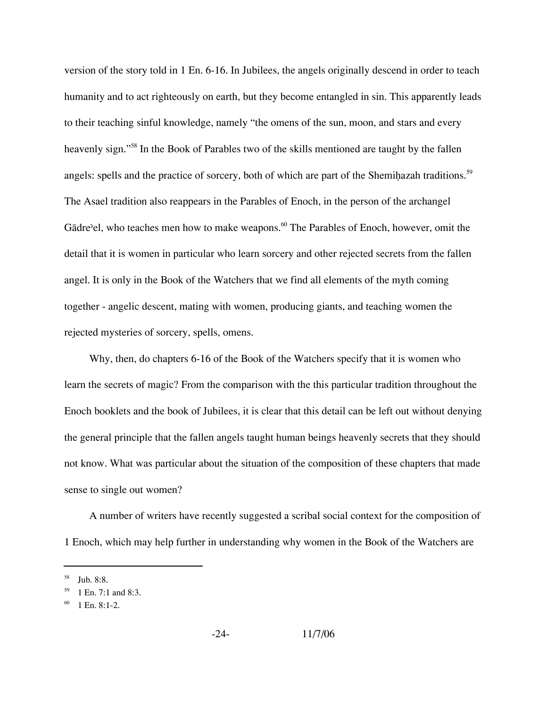version of the story told in 1 En. 6-16. In Jubilees, the angels originally descend in order to teach humanity and to act righteously on earth, but they become entangled in sin. This apparently leads to their teaching sinful knowledge, namely "the omens of the sun, moon, and stars and every heavenly sign."<sup>58</sup> In the Book of Parables two of the skills mentioned are taught by the fallen angels: spells and the practice of sorcery, both of which are part of the Shemihazah traditions.<sup>59</sup> The Asael tradition also reappears in the Parables of Enoch, in the person of the archangel Gādre'el, who teaches men how to make weapons.<sup>60</sup> The Parables of Enoch, however, omit the detail that it is women in particular who learn sorcery and other rejected secrets from the fallen angel. It is only in the Book of the Watchers that we find all elements of the myth coming together - angelic descent, mating with women, producing giants, and teaching women the rejected mysteries of sorcery, spells, omens.

Why, then, do chapters 6-16 of the Book of the Watchers specify that it is women who learn the secrets of magic? From the comparison with the this particular tradition throughout the Enoch booklets and the book of Jubilees, it is clear that this detail can be left out without denying the general principle that the fallen angels taught human beings heavenly secrets that they should not know. What was particular about the situation of the composition of these chapters that made sense to single out women?

A number of writers have recently suggested a scribal social context for the composition of 1 Enoch, which may help further in understanding why women in the Book of the Watchers are

Jub. 8:8.

<sup>1</sup> En. 7:1 and 8:3.

<sup>1</sup> En. 8:1-2.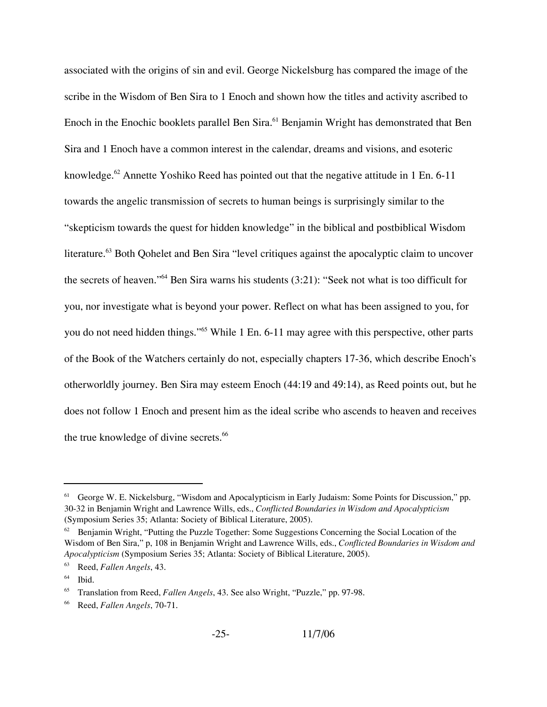associated with the origins of sin and evil. George Nickelsburg has compared the image of the scribe in the Wisdom of Ben Sira to 1 Enoch and shown how the titles and activity ascribed to Enoch in the Enochic booklets parallel Ben Sira.<sup>61</sup> Benjamin Wright has demonstrated that Ben Sira and 1 Enoch have a common interest in the calendar, dreams and visions, and esoteric knowledge.<sup>62</sup> Annette Yoshiko Reed has pointed out that the negative attitude in 1 En. 6-11 towards the angelic transmission of secrets to human beings is surprisingly similar to the "skepticism towards the quest for hidden knowledge" in the biblical and postbiblical Wisdom literature.<sup>63</sup> Both Qohelet and Ben Sira "level critiques against the apocalyptic claim to uncover the secrets of heaven."64 Ben Sira warns his students (3:21): "Seek not what is too difficult for you, nor investigate what is beyond your power. Reflect on what has been assigned to you, for you do not need hidden things."<sup>65</sup> While 1 En. 6-11 may agree with this perspective, other parts of the Book of the Watchers certainly do not, especially chapters 17-36, which describe Enoch's otherworldly journey. Ben Sira may esteem Enoch (44:19 and 49:14), as Reed points out, but he does not follow 1 Enoch and present him as the ideal scribe who ascends to heaven and receives the true knowledge of divine secrets.<sup>66</sup>

<sup>&</sup>lt;sup>61</sup> George W. E. Nickelsburg, "Wisdom and Apocalypticism in Early Judaism: Some Points for Discussion," pp. 30-32 in Benjamin Wright and Lawrence Wills, eds., *Conflicted Boundaries in Wisdom and Apocalypticism* (Symposium Series 35; Atlanta: Society of Biblical Literature, 2005).

 $62$  Benjamin Wright, "Putting the Puzzle Together: Some Suggestions Concerning the Social Location of the Wisdom of Ben Sira," p, 108 in Benjamin Wright and Lawrence Wills, eds., *Conflicted Boundaries in Wisdom and Apocalypticism* (Symposium Series 35; Atlanta: Society of Biblical Literature, 2005).

<sup>63</sup> Reed, *Fallen Angels*, 43.

 $<sup>64</sup>$  Ibid.</sup>

<sup>65</sup> Translation from Reed, *Fallen Angels*, 43. See also Wright, "Puzzle," pp. 97-98.

<sup>66</sup> Reed, *Fallen Angels*, 70-71.